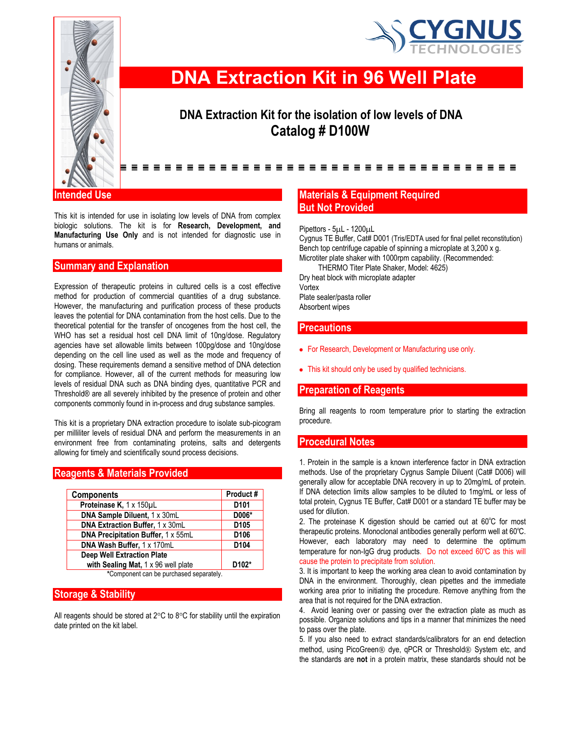



# **DNA Extraction Kit in 96 Well Plate**

# **DNA Extraction Kit for the isolation of low levels of DNA Catalog # D100W**

#### ------------------------------------

#### **Intended Use**

This kit is intended for use in isolating low levels of DNA from complex biologic solutions. The kit is for **Research, Development, and Manufacturing Use Only** and is not intended for diagnostic use in humans or animals.

#### **Summary and Explanation**

Expression of therapeutic proteins in cultured cells is a cost effective method for production of commercial quantities of a drug substance. However, the manufacturing and purification process of these products leaves the potential for DNA contamination from the host cells. Due to the theoretical potential for the transfer of oncogenes from the host cell, the WHO has set a residual host cell DNA limit of 10ng/dose. Regulatory agencies have set allowable limits between 100pg/dose and 10ng/dose depending on the cell line used as well as the mode and frequency of dosing. These requirements demand a sensitive method of DNA detection for compliance. However, all of the current methods for measuring low levels of residual DNA such as DNA binding dyes, quantitative PCR and Threshold® are all severely inhibited by the presence of protein and other components commonly found in in-process and drug substance samples.

This kit is a proprietary DNA extraction procedure to isolate sub-picogram per milliliter levels of residual DNA and perform the measurements in an environment free from contaminating proteins, salts and detergents allowing for timely and scientifically sound process decisions.

#### **Reagents & Materials Provided**

| Product#           |
|--------------------|
| D <sub>101</sub>   |
| D006*              |
| D <sub>105</sub>   |
| D <sub>106</sub>   |
| D <sub>104</sub>   |
|                    |
| D <sub>102</sub> * |
|                    |

**\***Component can be purchased separately.

## **Storage & Stability**

All reagents should be stored at  $2^{\circ}$ C to  $8^{\circ}$ C for stability until the expiration date printed on the kit label.

## **Materials & Equipment Required But Not Provided**

Pipettors -  $5\mu$ L - 1200 $\mu$ L

Cygnus TE Buffer, Cat# D001 (Tris/EDTA used for final pellet reconstitution) Bench top centrifuge capable of spinning a microplate at 3,200 x g. Microtiter plate shaker with 1000rpm capability. (Recommended: THERMO Titer Plate Shaker, Model: 4625)

Dry heat block with microplate adapter Vortex Plate sealer/pasta roller

Absorbent wipes

#### **Precautions**

- For Research, Development or Manufacturing use only.
- This kit should only be used by qualified technicians.

#### **Preparation of Reagents**

Bring all reagents to room temperature prior to starting the extraction procedure.

#### **Procedural Notes**

1. Protein in the sample is a known interference factor in DNA extraction methods. Use of the proprietary Cygnus Sample Diluent (Cat# D006) will generally allow for acceptable DNA recovery in up to 20mg/mL of protein. If DNA detection limits allow samples to be diluted to 1mg/mL or less of total protein, Cygnus TE Buffer, Cat# D001 or a standard TE buffer may be used for dilution.

2. The proteinase K digestion should be carried out at 60°C for most therapeutic proteins. Monoclonal antibodies generally perform well at 60°C. However, each laboratory may need to determine the optimum temperature for non-IgG drug products. Do not exceed 60°C as this will cause the protein to precipitate from solution.

3. It is important to keep the working area clean to avoid contamination by DNA in the environment. Thoroughly, clean pipettes and the immediate working area prior to initiating the procedure. Remove anything from the area that is not required for the DNA extraction.

4. Avoid leaning over or passing over the extraction plate as much as possible. Organize solutions and tips in a manner that minimizes the need to pass over the plate.

5. If you also need to extract standards/calibrators for an end detection method, using PicoGreen<sup>®</sup> dye, qPCR or Threshold<sup>®</sup> System etc, and the standards are **not** in a protein matrix, these standards should not be